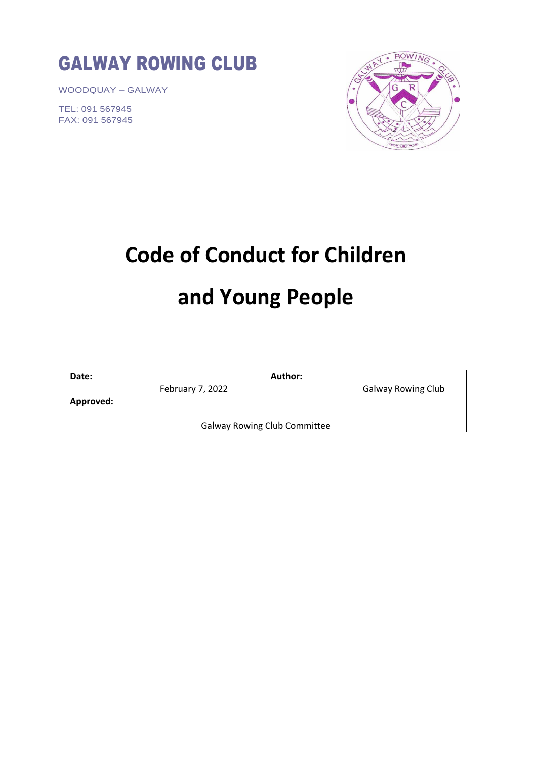

WOODQUAY – GALWAY

TEL: 091 567945 FAX: 091 567945



## **Code of Conduct for Children and Young People**

| Date:                               | Author:                   |
|-------------------------------------|---------------------------|
| February 7, 2022                    | <b>Galway Rowing Club</b> |
| Approved:                           |                           |
|                                     |                           |
| <b>Galway Rowing Club Committee</b> |                           |
|                                     |                           |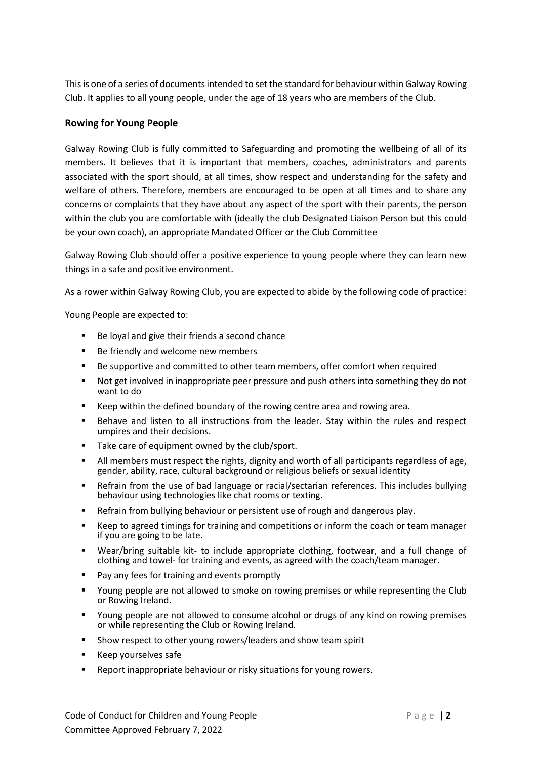This is one of a series of documents intended to set the standard for behaviour within Galway Rowing Club. It applies to all young people, under the age of 18 years who are members of the Club.

## **Rowing for Young People**

Galway Rowing Club is fully committed to Safeguarding and promoting the wellbeing of all of its members. It believes that it is important that members, coaches, administrators and parents associated with the sport should, at all times, show respect and understanding for the safety and welfare of others. Therefore, members are encouraged to be open at all times and to share any concerns or complaints that they have about any aspect of the sport with their parents, the person within the club you are comfortable with (ideally the club Designated Liaison Person but this could be your own coach), an appropriate Mandated Officer or the Club Committee

Galway Rowing Club should offer a positive experience to young people where they can learn new things in a safe and positive environment.

As a rower within Galway Rowing Club, you are expected to abide by the following code of practice:

Young People are expected to:

- Be loyal and give their friends a second chance
- Be friendly and welcome new members
- Be supportive and committed to other team members, offer comfort when required
- Not get involved in inappropriate peer pressure and push others into something they do not want to do
- Keep within the defined boundary of the rowing centre area and rowing area.
- Behave and listen to all instructions from the leader. Stay within the rules and respect umpires and their decisions.
- Take care of equipment owned by the club/sport.
- All members must respect the rights, dignity and worth of all participants regardless of age. gender, ability, race, cultural background or religious beliefs or sexual identity
- Refrain from the use of bad language or racial/sectarian references. This includes bullying behaviour using technologies like chat rooms or texting.
- Refrain from bullying behaviour or persistent use of rough and dangerous play.
- Keep to agreed timings for training and competitions or inform the coach or team manager if you are going to be late.
- Wear/bring suitable kit- to include appropriate clothing, footwear, and a full change of clothing and towel- for training and events, as agreed with the coach/team manager.
- Pay any fees for training and events promptly
- Young people are not allowed to smoke on rowing premises or while representing the Club or Rowing Ireland.
- Young people are not allowed to consume alcohol or drugs of any kind on rowing premises or while representing the Club or Rowing Ireland.
- Show respect to other young rowers/leaders and show team spirit
- Keep yourselves safe
- Report inappropriate behaviour or risky situations for young rowers.